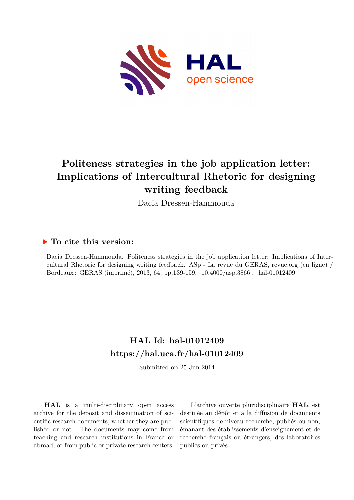

# **Politeness strategies in the job application letter: Implications of Intercultural Rhetoric for designing writing feedback**

Dacia Dressen-Hammouda

# **To cite this version:**

Dacia Dressen-Hammouda. Politeness strategies in the job application letter: Implications of Intercultural Rhetoric for designing writing feedback. ASp - La revue du GERAS, revue.org (en ligne) / Bordeaux : GERAS (imprimé), 2013, 64, pp.139-159. 10.4000/asp.3866. hal-01012409

# **HAL Id: hal-01012409 <https://hal.uca.fr/hal-01012409>**

Submitted on 25 Jun 2014

**HAL** is a multi-disciplinary open access archive for the deposit and dissemination of scientific research documents, whether they are published or not. The documents may come from teaching and research institutions in France or abroad, or from public or private research centers.

L'archive ouverte pluridisciplinaire **HAL**, est destinée au dépôt et à la diffusion de documents scientifiques de niveau recherche, publiés ou non, émanant des établissements d'enseignement et de recherche français ou étrangers, des laboratoires publics ou privés.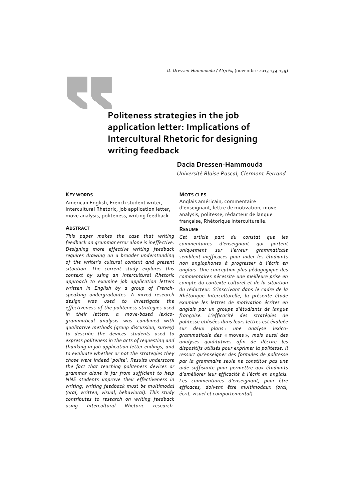*D. Dressen‐Hammouda / ASp* 64 (novembre 2013 139‐159)

# **Politeness strategies in the job application letter: Implications of Intercultural Rhetoric for designing writing feedback**

# **Dacia Dressen‐Hammouda**

*Université Blaise Pascal, Clermont‐Ferrand*

#### **KEY WORDS**

American English, French student writer, Intercultural Rhetoric, job application letter, move analysis, politeness, writing feedback.

#### **ABSTRACT**

*This paper makes the case that writing feedback on grammar error alone is ineffective. Designing more effective writing feedback requires drawing on a broader understanding of the writer's cultural context and present situation. The current study explores this context by using an Intercultural Rhetoric approach to examine job application letters written in English by a group of French‐ speaking undergraduates. A mixed research design was used to investigate the effectiveness of the politeness strategies used in their letters: a move‐based lexico‐ grammatical analysis was combined with qualitative methods (group discussion, survey) to describe the devices students used to express politeness in the acts of requesting and thanking in job application letter endings, and to evaluate whether or not the strategies they chose were indeed 'polite'. Results underscore the fact that teaching politeness devices or grammar alone is far from sufficient to help NNE students improve their effectiveness in writing; writing feedback must be multimodal (oral, written, visual, behavioral). This study contributes to research on writing feedback using Intercultural Rhetoric research.* 

#### **MOTS CLES**

Anglais américain, commentaire d'enseignant, lettre de motivation, move analysis, politesse, rédacteur de langue française, Rhétorique Interculturelle.

#### **RESUME**

*Cet article part du constat que les commentaires d'enseignant qui portent uniquement sur l'erreur grammaticale semblent inefficaces pour aider les étudiants non anglophones à progresser à l'écrit en anglais. Une conception plus pédagogique des commentaires nécessite une meilleure prise en compte du contexte culturel et de la situation du rédacteur. S'inscrivant dans le cadre de la Rhétorique Interculturelle, la présente étude examine les lettres de motivation écrites en anglais par un groupe d'étudiants de langue française. L'efficacité des stratégies de politesse utilisées dans leurs lettres est évaluée sur deux plans : une analyse lexico‐ grammaticale des «* moves *», mais aussi des analyses qualitatives afin de décrire les dispositifs utilisés pour exprimer la politesse. Il ressort qu'enseigner des formules de politesse par la grammaire seule ne constitue pas une aide suffisante pour permettre aux étudiants d'améliorer leur efficacité à l'écrit en anglais. Les commentaires d'enseignant, pour être efficaces, doivent être multimodaux (oral, écrit, visuel et comportemental).*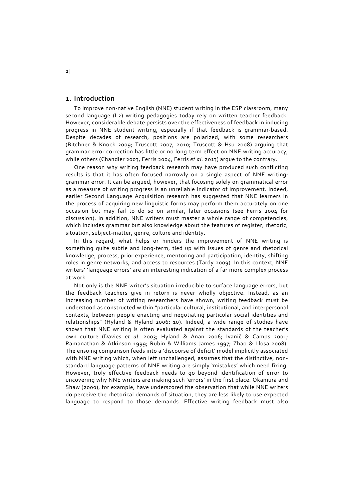#### **1. Introduction**

To improve non‐native English (NNE) student writing in the ESP classroom, many second-language (L2) writing pedagogies today rely on written teacher feedback. However, considerable debate persists over the effectiveness of feedback in inducing progress in NNE student writing, especially if that feedback is grammar‐based. Despite decades of research, positions are polarized, with some researchers (Bitchner & Knock 2009; Truscott 2007, 2010; Truscott & Hsu 2008) arguing that grammar error correction has little or no long‐term effect on NNE writing accuracy, while others (Chandler 2003; Ferris 2004; Ferris *et al.* 2013) argue to the contrary.

One reason why writing feedback research may have produced such conflicting results is that it has often focused narrowly on a single aspect of NNE writing: grammar error. It can be argued, however, that focusing solely on grammatical error as a measure of writing progress is an unreliable indicator of improvement. Indeed, earlier Second Language Acquisition research has suggested that NNE learners in the process of acquiring new linguistic forms may perform them accurately on one occasion but may fail to do so on similar, later occasions (see Ferris 2004 for discussion). In addition, NNE writers must master a whole range of competencies, which includes grammar but also knowledge about the features of register, rhetoric, situation, subject‐matter, genre, culture and identity.

In this regard, what helps or hinders the improvement of NNE writing is something quite subtle and long-term, tied up with issues of genre and rhetorical knowledge, process, prior experience, mentoring and participation, identity, shifting roles in genre networks, and access to resources (Tardy 2009). In this context, NNE writers' 'language errors' are an interesting indication of a far more complex process at work.

Not only is the NNE writer's situation irreducible to surface language errors, but the feedback teachers give in return is never wholly objective. Instead, as an increasing number of writing researchers have shown, writing feedback must be understood as constructed within "particular cultural, institutional, and interpersonal contexts, between people enacting and negotiating particular social identities and relationships" (Hyland & Hyland 2006: 10). Indeed, a wide range of studies have shown that NNE writing is often evaluated against the standards of the teacher's own culture (Davies *et al*. 2003; Hyland & Anan 2006; Ivanič & Camps 2001; Ramanathan & Atkinson 1999; Rubin & Williams‐James 1997; Zhao & Llosa 2008). The ensuing comparison feeds into a 'discourse of deficit' model implicitly associated with NNE writing which, when left unchallenged, assumes that the distinctive, nonstandard language patterns of NNE writing are simply 'mistakes' which need fixing. However, truly effective feedback needs to go beyond identification of error to uncovering why NNE writers are making such 'errors' in the first place. Okamura and Shaw (2000), for example, have underscored the observation that while NNE writers do perceive the rhetorical demands of situation, they are less likely to use expected language to respond to those demands. Effective writing feedback must also

2|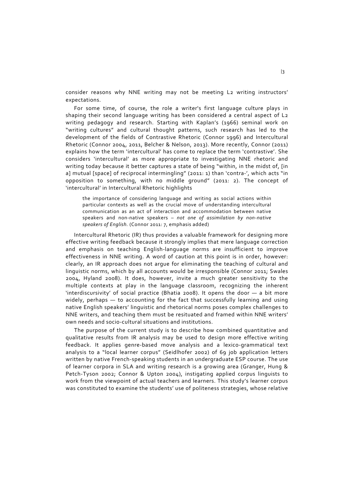consider reasons why NNE writing may not be meeting L2 writing instructors' expectations.

For some time, of course, the role a writer's first language culture plays in shaping their second language writing has been considered a central aspect of L<sub>2</sub> writing pedagogy and research. Starting with Kaplan's (1966) seminal work on "writing cultures" and cultural thought patterns, such research has led to the development of the fields of Contrastive Rhetoric (Connor 1996) and Intercultural Rhetoric (Connor 2004, 2011, Belcher & Nelson, 2013). More recently, Connor (2011) explains how the term 'intercultural' has come to replace the term 'contrastive'. She considers 'intercultural' as more appropriate to investigating NNE rhetoric and writing today because it better captures a state of being "within, in the midst of, [in a] mutual [space] of reciprocal intermingling" (2011: 1) than 'contra‐', which acts "in opposition to something, with no middle ground" (2011: 2). The concept of 'intercultural' in Intercultural Rhetoric highlights

the importance of considering language and writing as social actions within particular contexts as well as the crucial move of understanding intercultural communication as an act of interaction and accommodation between native speakers and non‐native speakers – *not one of assimilation by non‐native speakers of English.* (Connor 2011: 7, emphasis added)

Intercultural Rhetoric (IR) thus provides a valuable framework for designing more effective writing feedback because it strongly implies that mere language correction and emphasis on teaching English‐language norms are insufficient to improve effectiveness in NNE writing. A word of caution at this point is in order, however: clearly, an IR approach does not argue for eliminating the teaching of cultural and linguistic norms, which by all accounts would be irresponsible (Connor 2011; Swales 2004, Hyland 2008). It does, however, invite a much greater sensitivity to the multiple contexts at play in the language classroom, recognizing the inherent 'interdiscursivity' of social practice (Bhatia 2008). It opens the door  $-$  a bit more widely, perhaps  $-$  to accounting for the fact that successfully learning and using native English speakers' linguistic and rhetorical norms poses complex challenges to NNE writers, and teaching them must be resituated and framed within NNE writers' own needs and socio‐cultural situations and institutions.

The purpose of the current study is to describe how combined quantitative and qualitative results from IR analysis may be used to design more effective writing feedback. It applies genre‐based move analysis and a lexico‐grammatical text analysis to a "local learner corpus" (Seidlhofer 2002) of 69 job application letters written by native French‐speaking students in an undergraduate ESP course. The use of learner corpora in SLA and writing research is a growing area (Granger, Hung & Petch-Tyson 2002; Connor & Upton 2004), instigating applied corpus linguists to work from the viewpoint of actual teachers and learners. This study's learner corpus was constituted to examine the students' use of politeness strategies, whose relative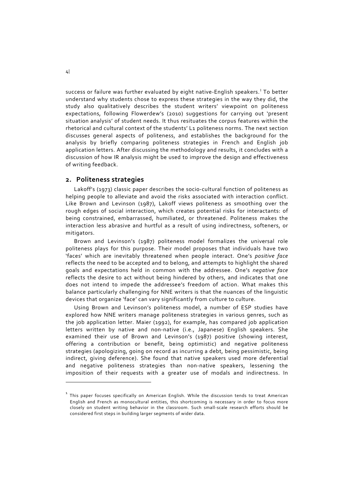success or failure was further evaluated by eight native-English speakers.<sup>1</sup> To better understand why students chose to express these strategies in the way they did, the study also qualitatively describes the student writers' viewpoint on politeness expectations, following Flowerdew's (2010) suggestions for carrying out 'present situation analysis' of student needs. It thus resituates the corpus features within the rhetorical and cultural context of the students' L1 politeness norms. The next section discusses general aspects of politeness, and establishes the background for the analysis by briefly comparing politeness strategies in French and English job application letters. After discussing the methodology and results, it concludes with a discussion of how IR analysis might be used to improve the design and effectiveness of writing feedback.

## **2. Politeness strategies**

Lakoff's (1973) classic paper describes the socio‐cultural function of politeness as helping people to alleviate and avoid the risks associated with interaction conflict. Like Brown and Levinson (1987), Lakoff views politeness as smoothing over the rough edges of social interaction, which creates potential risks for interactants: of being constrained, embarrassed, humiliated, or threatened. Politeness makes the interaction less abrasive and hurtful as a result of using indirectness, softeners, or mitigators.

Brown and Levinson's (1987) politeness model formalizes the universal role politeness plays for this purpose. Their model proposes that individuals have two 'faces' which are inevitably threatened when people interact. One's *positive face* reflects the need to be accepted and to belong, and attempts to highlight the shared goals and expectations held in common with the addressee. One's *negative face* reflects the desire to act without being hindered by others, and indicates that one does not intend to impede the addressee's freedom of action. What makes this balance particularly challenging for NNE writers is that the nuances of the linguistic devices that organize 'face' can vary significantly from culture to culture.

Using Brown and Levinson's politeness model, a number of ESP studies have explored how NNE writers manage politeness strategies in various genres, such as the job application letter. Maier (1992), for example, has compared job application letters written by native and non-native (i.e., Japanese) English speakers. She examined their use of Brown and Levinson's (1987) positive (showing interest, offering a contribution or benefit, being optimistic) and negative politeness strategies (apologizing, going on record as incurring a debt, being pessimistic, being indirect, giving deference). She found that native speakers used more deferential and negative politeness strategies than non-native speakers, lessening the imposition of their requests with a greater use of modals and indirectness. In

֦

 $^{\rm 1}$  This paper focuses specifically on American English. While the discussion tends to treat American English and French as monocultural entities, this shortcoming is necessary in order to focus more closely on student writing behavior in the classroom. Such small-scale research efforts should be considered first steps in building larger segments of wider data.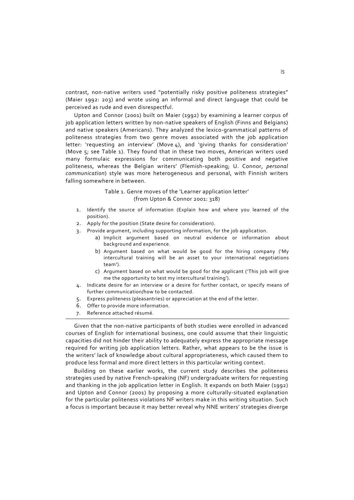contrast, non-native writers used "potentially risky positive politeness strategies" (Maier 1992: 203) and wrote using an informal and direct language that could be perceived as rude and even disrespectful.

Upton and Connor (2001) built on Maier (1992) by examining a learner corpus of job application letters written by non-native speakers of English (Finns and Belgians) and native speakers (Americans). They analyzed the lexico-grammatical patterns of politeness strategies from two genre moves associated with the job application letter: 'requesting an interview' (Move 4), and 'giving thanks for consideration' (Move  $5$ ; see Table 1). They found that in these two moves, American writers used many formulaic expressions for communicating both positive and negative politeness, whereas the Belgian writers' (Flemish‐speaking; U. Connor, *personal communication*) style was more heterogeneous and personal, with Finnish writers falling somewhere in between.

# Table 1. Genre moves of the 'Learner application letter' (from Upton & Connor 2001: 318)

- 1. Identify the source of information (Explain how and where you learned of the position).
- 2. Apply for the position (State desire for consideration).
- 3. Provide argument, including supporting information, for the job application.
	- a) Implicit argument based on neutral evidence or information about background and experience.
	- b) Argument based on what would be good for the hiring company ('My intercultural training will be an asset to your international negotiations team').
	- c) Argument based on what would be good for the applicant ('This job will give me the opportunity to test my intercultural training').
- 4. Indicate desire for an interview or a desire for further contact, or specify means of further communication/how to be contacted.
- 5. Express politeness (pleasantries) or appreciation at the end of the letter.
- 6. Offer to provide more information.
- 7. Reference attached résumé.

Given that the non‐native participants of both studies were enrolled in advanced courses of English for international business, one could assume that their linguistic capacities did not hinder their ability to adequately express the appropriate message required for writing job application letters. Rather, what appears to be the issue is the writers' lack of knowledge about cultural appropriateness, which caused them to produce less formal and more direct letters in this particular writing context.

Building on these earlier works, the current study describes the politeness strategies used by native French‐speaking (NF) undergraduate writers for requesting and thanking in the job application letter in English. It expands on both Maier (1992) and Upton and Connor (2001) by proposing a more culturally-situated explanation for the particular politeness violations NF writers make in this writing situation. Such a focus is important because it may better reveal why NNE writers' strategies diverge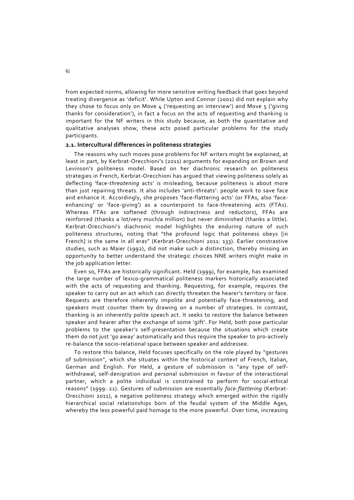from expected norms, allowing for more sensitive writing feedback that goes beyond treating divergence as 'deficit'. While Upton and Connor (2001) did not explain why they chose to focus only on Move 4 ('requesting an interview') and Move 5 ('giving thanks for consideration'), in fact a focus on the acts of requesting and thanking is important for the NF writers in this study because, as both the quantitative and qualitative analyses show, these acts posed particular problems for the study participants.

#### **2.1. Intercultural differences in politeness strategies**

The reasons why such moves pose problems for NF writers might be explained, at least in part, by Kerbrat‐Orecchioni's (2011) arguments for expanding on Brown and Levinson's politeness model. Based on her diachronic research on politeness strategies in French, Kerbrat‐Orecchioni has argued that viewing politeness solely as deflecting 'face‐*threatening* acts' is misleading, because politeness is about more than just repairing threats. It also includes 'anti-threats': people work to save face and enhance it. Accordingly, she proposes 'face-flattering acts' (or FFAs, also 'faceenhancing' or 'face-giving') as a counterpoint to face-threatening acts (FTAs). Whereas FTAs are softened (through indirectness and reductors), FFAs are reinforced (thanks a lot/very much/a million) but never diminished (thanks a little). Kerbrat‐Orecchioni's diachronic model highlights the enduring nature of such politeness structures, noting that "the profound logic that politeness obeys [in French] is the same in all eras" (Kerbrat‐Orecchioni 2011: 133). Earlier constrastive studies, such as Maier (1992), did not make such a distinction, thereby missing an opportunity to better understand the strategic choices NNE writers might make in the job application letter.

Even so, FFAs are historically significant. Held (1999), for example, has examined the large number of lexico‐grammatical politeness markers historically associated with the acts of requesting and thanking. Requesting, for example, requires the speaker to carry out an act which can directly threaten the hearer's territory or face. Requests are therefore inherently impolite and potentially face-threatening, and speakers must counter them by drawing on a number of strategies. In contrast, thanking is an inherently polite speech act. It seeks to restore the balance between speaker and hearer after the exchange of some 'gift'. For Held, both pose particular problems to the speaker's self-presentation because the situations which create them do not just 'go away' automatically and thus require the speaker to pro‐actively re-balance the socio-relational space between speaker and addressee.

To restore this balance, Held focuses specifically on the role played by "gestures of submission", which she situates within the historical context of French, Italian, German and English. For Held, a gesture of submission is "any type of selfwithdrawal, self-denigration and personal submission in favour of the interactional partner, which a polite individual is constrained to perform for social‐ethical reasons" (1999: 21). Gestures of submission are essentially *face-flattering* (Kerbrat-Orecchioni 2011), a negative politeness strategy which emerged within the rigidly hierarchical social relationships born of the feudal system of the Middle Ages, whereby the less powerful paid homage to the more powerful. Over time, increasing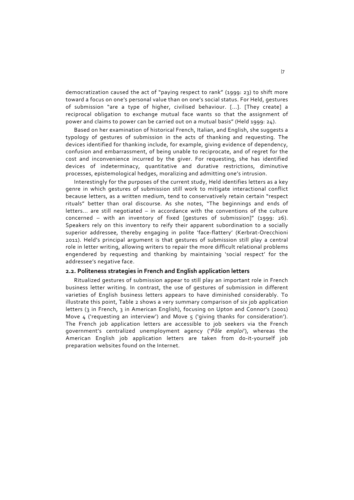democratization caused the act of "paying respect to rank" (1999: 23) to shift more toward a focus on one's personal value than on one's social status. For Held, gestures of submission "are a type of higher, civilised behaviour. [...]. [They create] a reciprocal obligation to exchange mutual face wants so that the assignment of power and claims to power can be carried out on a mutual basis" (Held 1999: 24).

Based on her examination of historical French, Italian, and English, she suggests a typology of gestures of submission in the acts of thanking and requesting. The devices identified for thanking include, for example, giving evidence of dependency, confusion and embarrassment, of being unable to reciprocate, and of regret for the cost and inconvenience incurred by the giver. For requesting, she has identified devices of indeterminacy, quantitative and durative restrictions, diminutive processes, epistemological hedges, moralizing and admitting one's intrusion.

Interestingly for the purposes of the current study, Held identifies letters as a key genre in which gestures of submission still work to mitigate interactional conflict because letters, as a written medium, tend to conservatively retain certain "respect rituals" better than oral discourse. As she notes, "The beginnings and ends of letters... are still negotiated - in accordance with the conventions of the culture concerned – with an inventory of fixed [gestures of submission]" (1999: 26). Speakers rely on this inventory to reify their apparent subordination to a socially superior addressee, thereby engaging in polite 'face-flattery' (Kerbrat-Orecchioni 2011). Held's principal argument is that gestures of submission still play a central role in letter writing, allowing writers to repair the more difficult relational problems engendered by requesting and thanking by maintaining 'social respect' for the addressee's negative face.

#### **2.2. Politeness strategies in French and English application letters**

Ritualized gestures of submission appear to still play an important role in French business letter writing. In contrast, the use of gestures of submission in different varieties of English business letters appears to have diminished considerably. To illustrate this point, Table 2 shows a very summary comparison of six job application letters (3 in French, 3 in American English), focusing on Upton and Connor's (2001) Move  $\mu$  ('requesting an interview') and Move  $\varsigma$  ('giving thanks for consideration'). The French job application letters are accessible to job seekers via the French government's centralized unemployment agency ('*Pôle emploi*'), whereas the American English job application letters are taken from do‐it‐yourself job preparation websites found on the Internet.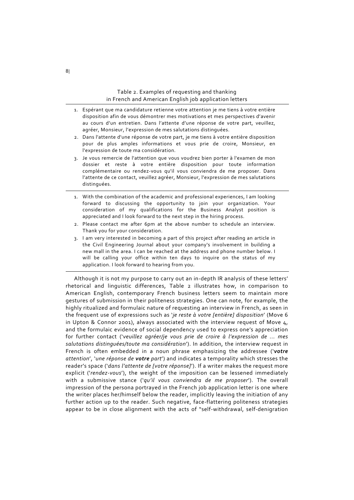#### Table 2. Examples of requesting and thanking in French and American English job application letters

- 1. Espérant que ma candidature retienne votre attention je me tiens à votre entière disposition afin de vous démontrer mes motivations et mes perspectives d'avenir au cours d'un entretien. Dans l'attente d'une réponse de votre part, veuillez, agréer, Monsieur, l'expression de mes salutations distinguées.
- 2. Dans l'attente d'une réponse de votre part, je me tiens à votre entière disposition pour de plus amples informations et vous prie de croire, Monsieur, en l'expression de toute ma considération.
- 3. Je vous remercie de l'attention que vous voudrez bien porter à l'examen de mon dossier et reste à votre entière disposition pour toute information complémentaire ou rendez‐vous qu'il vous conviendra de me proposer. Dans l'attente de ce contact, veuillez agréer, Monsieur, l'expression de mes salutations distinguées.
- 1. With the combination of the academic and professional experiences, I am looking forward to discussing the opportunity to join your organization. Your consideration of my qualifications for the Business Analyst position is appreciated and I look forward to the next step in the hiring process.
- 2. Please contact me after 6pm at the above number to schedule an interview. Thank you for your consideration.
- 3. I am very interested in becoming a part of this project after reading an article in the Civil Engineering Journal about your company's involvement in building a new mall in the area. I can be reached at the address and phone number below. I will be calling your office within ten days to inquire on the status of my application. I look forward to hearing from you.

Although it is not my purpose to carry out an in‐depth IR analysis of these letters' rhetorical and linguistic differences, Table 2 illustrates how, in comparison to American English, contemporary French business letters seem to maintain more gestures of submission in their politeness strategies. One can note, for example, the highly ritualized and formulaic nature of requesting an interview in French, as seen in the frequent use of expressions such as '*je reste à votre [entière] disposition*' (Move 6 in Upton & Connor 2001), always associated with the interview request of Move  $4$ , and the formulaic evidence of social dependency used to express one's appreciation for further contact ('*veuillez agréer/je vous prie de croire à l'expression de ... mes salutations distinguées/toute ma considération*'). In addition, the interview request in French is often embedded in a noun phrase emphasizing the addressee ('*votre attention*', '*une réponse de votre part*') and indicates a temporality which stresses the reader's space ('*dans l'attente de [votre réponse]*'). If a writer makes the request more explicit ('*rendez-vous'*), the weight of the imposition can be lessened immediately with a submissive stance ('*qu'il vous conviendra de me proposer*'). The overall impression of the persona portrayed in the French job application letter is one where the writer places her/himself below the reader, implicitly leaving the initiation of any further action up to the reader. Such negative, face-flattering politeness strategies appear to be in close alignment with the acts of "self-withdrawal, self-denigration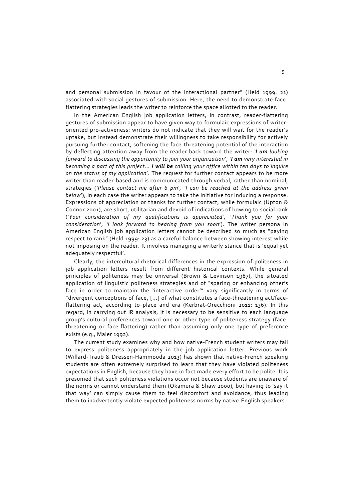and personal submission in favour of the interactional partner" (Held 1999: 21) associated with social gestures of submission. Here, the need to demonstrate face‐ flattering strategies leads the writer to reinforce the space allotted to the reader.

In the American English job application letters, in contrast, reader-flattering gestures of submission appear to have given way to formulaic expressions of writer‐ oriented pro‐activeness: writers do not indicate that they will wait for the reader's uptake, but instead demonstrate their willingness to take responsibility for actively pursuing further contact, softening the face‐threatening potential of the interaction by deflecting attention away from the reader back toward the writer: *'I am looking forward to discussing the opportunity to join your organization*', '*I am very interested in becoming a part of this project... I will be calling your office within ten days to inquire on the status of my application*'*.* The request for further contact appears to be more writer than reader-based and is communicated through verbal, rather than nominal, strategies (*'Please contact me after 6 pm*'*, 'I can be reached at the address given below*'); in each case the writer appears to take the initiative for inducing a response. Expressions of appreciation or thanks for further contact, while formulaic (Upton & Connor 2001), are short, utilitarian and devoid of indications of bowing to social rank ('*Your consideration of my qualifications is appreciated*'*, 'Thank you for your consideration*'*, 'I look forward to hearing from you soon*'). The writer persona in American English job application letters cannot be described so much as "paying respect to rank" (Held 1999: 23) as a careful balance between showing interest while not imposing on the reader. It involves managing a writerly stance that is 'equal yet adequately respectful'.

Clearly, the intercultural rhetorical differences in the expression of politeness in job application letters result from different historical contexts. While general principles of politeness may be universal (Brown & Levinson 1987), the situated application of linguistic politeness strategies and of "sparing or enhancing other's face in order to maintain the 'interactive order'" vary significantly in terms of "divergent conceptions of face, [...] of what constitutes a face‐threatening act/face‐ flattering act, according to place and era (Kerbrat‐Orecchioni 2011: 136). In this regard, in carrying out IR analysis, it is necessary to be sensitive to each language group's cultural preferences toward one or other type of politeness strategy (face‐ threatening or face-flattering) rather than assuming only one type of preference exists (e.g., Maier 1992).

The current study examines why and how native‐French student writers may fail to express politeness appropriately in the job application letter. Previous work (Willard‐Traub & Dressen‐Hammouda 2013) has shown that native‐French speaking students are often extremely surprised to learn that they have violated politeness expectations in English, because they have in fact made every effort to be polite. It is presumed that such politeness violations occur not because students are unaware of the norms or cannot understand them (Okamura & Shaw 2000), but having to 'say it that way' can simply cause them to feel discomfort and avoidance, thus leading them to inadvertently violate expected politeness norms by native‐English speakers.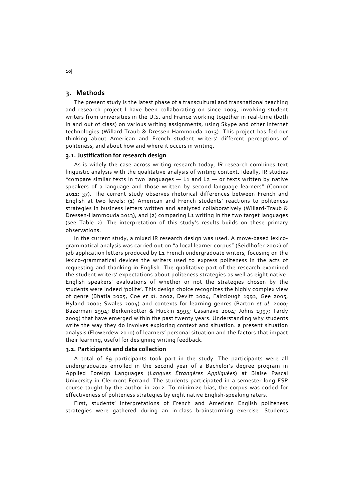### **3. Methods**

The present study is the latest phase of a transcultural and transnational teaching and research project I have been collaborating on since 2009, involving student writers from universities in the U.S. and France working together in real-time (both in and out of class) on various writing assignments, using Skype and other Internet technologies (Willard‐Traub & Dressen‐Hammouda 2013). This project has fed our thinking about American and French student writers' different perceptions of politeness, and about how and where it occurs in writing.

### **3.1. Justification for research design**

As is widely the case across writing research today, IR research combines text linguistic analysis with the qualitative analysis of writing context. Ideally, IR studies "compare similar texts in two languages - L1 and L2 - or texts written by native speakers of a language and those written by second language learners" (Connor 2011: 37). The current study observes rhetorical differences between French and English at two levels: (1) American and French students' reactions to politeness strategies in business letters written and analyzed collaboratively (Willard‐Traub & Dressen‐Hammouda 2013); and (2) comparing L1 writing in the two target languages (see Table 2). The interpretation of this study's results builds on these primary observations.

In the current study, a mixed IR research design was used. A move‐based lexico‐ grammatical analysis was carried out on "a local learner corpus" (Seidlhofer 2002) of job application letters produced by L1 French undergraduate writers, focusing on the lexico-grammatical devices the writers used to express politeness in the acts of requesting and thanking in English. The qualitative part of the research examined the student writers' expectations about politeness strategies as well as eight native‐ English speakers' evaluations of whether or not the strategies chosen by the students were indeed 'polite'. This design choice recognizes the highly complex view of genre (Bhatia 2005; Coe *et al*. 2002; Devitt 2004; Fairclough 1992; Gee 2005; Hyland 2000; Swales 2004) and contexts for learning genres (Barton *et al.* 2000; Bazerman 1994; Berkenkotter & Huckin 1995; Casanave 2004; Johns 1997; Tardy 2009) that have emerged within the past twenty years. Understanding why students write the way they do involves exploring context and situation: a present situation analysis (Flowerdew 2010) of learners' personal situation and the factors that impact their learning, useful for designing writing feedback.

#### **3.2. Participants and data collection**

A total of 69 participants took part in the study. The participants were all undergraduates enrolled in the second year of a Bachelor's degree program in Applied Foreign Languages (*Langues Étrangères Appliquées*) at Blaise Pascal University in Clermont‐Ferrand. The students participated in a semester‐long ESP course taught by the author in 2012. To minimize bias, the corpus was coded for effectiveness of politeness strategies by eight native English‐speaking raters.

First, students' interpretations of French and American English politeness strategies were gathered during an in-class brainstorming exercise. Students

10|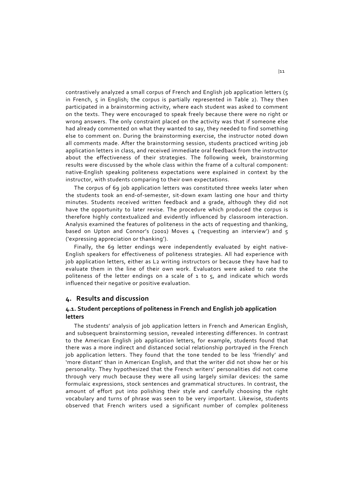contrastively analyzed a small corpus of French and English job application letters (5 in French, 5 in English; the corpus is partially represented in Table 2). They then participated in a brainstorming activity, where each student was asked to comment on the texts. They were encouraged to speak freely because there were no right or wrong answers. The only constraint placed on the activity was that if someone else had already commented on what they wanted to say, they needed to find something else to comment on. During the brainstorming exercise, the instructor noted down all comments made. After the brainstorming session, students practiced writing job application letters in class, and received immediate oral feedback from the instructor about the effectiveness of their strategies. The following week, brainstorming results were discussed by the whole class within the frame of a cultural component: native‐English speaking politeness expectations were explained in context by the instructor, with students comparing to their own expectations.

The corpus of 69 job application letters was constituted three weeks later when the students took an end-of-semester, sit-down exam lasting one hour and thirty minutes. Students received written feedback and a grade, although they did not have the opportunity to later revise. The procedure which produced the corpus is therefore highly contextualized and evidently influenced by classroom interaction. Analysis examined the features of politeness in the acts of requesting and thanking, based on Upton and Connor's (2001) Moves  $\mu$  ('requesting an interview') and  $\tau$ ('expressing appreciation or thanking').

Finally, the 69 letter endings were independently evaluated by eight native-English speakers for effectiveness of politeness strategies. All had experience with job application letters, either as L2 writing instructors or because they have had to evaluate them in the line of their own work. Evaluators were asked to rate the politeness of the letter endings on a scale of  $1$  to  $5$ , and indicate which words influenced their negative or positive evaluation.

### **4. Results and discussion**

# **4.1. Student perceptions of politeness in French and English job application letters**

The students' analysis of job application letters in French and American English, and subsequent brainstorming session, revealed interesting differences. In contrast to the American English job application letters, for example, students found that there was a more indirect and distanced social relationship portrayed in the French job application letters. They found that the tone tended to be less 'friendly' and 'more distant' than in American English, and that the writer did not show her or his personality. They hypothesized that the French writers' personalities did not come through very much because they were all using largely similar devices: the same formulaic expressions, stock sentences and grammatical structures. In contrast, the amount of effort put into polishing their style and carefully choosing the right vocabulary and turns of phrase was seen to be very important. Likewise, students observed that French writers used a significant number of complex politeness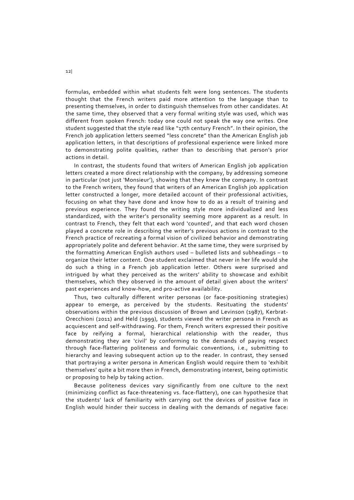formulas, embedded within what students felt were long sentences. The students thought that the French writers paid more attention to the language than to presenting themselves, in order to distinguish themselves from other candidates. At the same time, they observed that a very formal writing style was used, which was different from spoken French: today one could not speak the way one writes. One student suggested that the style read like "17th century French". In their opinion, the French job application letters seemed "less concrete" than the American English job application letters, in that descriptions of professional experience were linked more to demonstrating polite qualities, rather than to describing that person's prior actions in detail.

In contrast, the students found that writers of American English job application letters created a more direct relationship with the company, by addressing someone in particular (not just 'Monsieur'), showing that they knew the company. In contrast to the French writers, they found that writers of an American English job application letter constructed a longer, more detailed account of their professional activities, focusing on what they have done and know how to do as a result of training and previous experience. They found the writing style more individualized and less standardized, with the writer's personality seeming more apparent as a result. In contrast to French, they felt that each word 'counted', and that each word chosen played a concrete role in describing the writer's previous actions in contrast to the French practice of recreating a formal vision of civilized behavior and demonstrating appropriately polite and deferent behavior. At the same time, they were surprised by the formatting American English authors used – bulleted lists and subheadings – to organize their letter content. One student exclaimed that never in her life would she do such a thing in a French job application letter. Others were surprised and intrigued by what they perceived as the writers' ability to showcase and exhibit themselves, which they observed in the amount of detail given about the writers' past experiences and know‐how, and pro‐active availability.

Thus, two culturally different writer personas (or face-positioning strategies) appear to emerge, as perceived by the students. Resituating the students' observations within the previous discussion of Brown and Levinson (1987), Kerbrat‐ Orecchioni (2011) and Held (1999), students viewed the writer persona in French as acquiescent and self‐withdrawing. For them, French writers expressed their positive face by reifying a formal, hierarchical relationship with the reader, thus demonstrating they are 'civil' by conforming to the demands of paying respect through face‐flattering politeness and formulaic conventions, i.e., submitting to hierarchy and leaving subsequent action up to the reader. In contrast, they sensed that portraying a writer persona in American English would require them to 'exhibit themselves' quite a bit more then in French, demonstrating interest, being optimistic or proposing to help by taking action.

Because politeness devices vary significantly from one culture to the next (minimizing conflict as face‐threatening vs. face‐flattery), one can hypothesize that the students' lack of familiarity with carrying out the devices of positive face in English would hinder their success in dealing with the demands of negative face: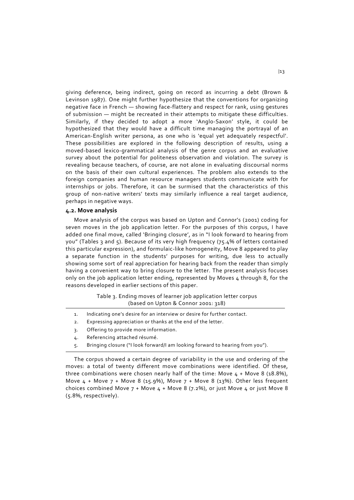giving deference, being indirect, going on record as incurring a debt (Brown & Levinson 1987). One might further hypothesize that the conventions for organizing negative face in French — showing face-flattery and respect for rank, using gestures of submission — might be recreated in their attempts to mitigate these difficulties. Similarly, if they decided to adopt a more 'Anglo-Saxon' style, it could be hypothesized that they would have a difficult time managing the portrayal of an American-English writer persona, as one who is 'equal yet adequately respectful'. These possibilities are explored in the following description of results, using a moved‐based lexico‐grammatical analysis of the genre corpus and an evaluative survey about the potential for politeness observation and violation. The survey is revealing because teachers, of course, are not alone in evaluating discoursal norms on the basis of their own cultural experiences. The problem also extends to the foreign companies and human resource managers students communicate with for internships or iobs. Therefore, it can be surmised that the characteristics of this group of non-native writers' texts may similarly influence a real target audience, perhaps in negative ways.

# **4.2. Move analysis**

Move analysis of the corpus was based on Upton and Connor's (2001) coding for seven moves in the job application letter. For the purposes of this corpus, I have added one final move, called 'Bringing closure', as in "I look forward to hearing from you" (Tables 3 and 5). Because of its very high frequency (75.4% of letters contained this particular expression), and formulaic‐like homogeneity, Move 8 appeared to play a separate function in the students' purposes for writing, due less to actually showing some sort of real appreciation for hearing back from the reader than simply having a convenient way to bring closure to the letter. The present analysis focuses only on the job application letter ending, represented by Moves 4 through 8, for the reasons developed in earlier sections of this paper.

> Table 3. Ending moves of learner job application letter corpus (based on Upton & Connor 2001: 318)

- 1. Indicating one's desire for an interview or desire for further contact.
- 2. Expressing appreciation or thanks at the end of the letter.
- 3. Offering to provide more information.
- 4. Referencing attached résumé.
- 5. Bringing closure ("I look forward/I am looking forward to hearing from you").

The corpus showed a certain degree of variability in the use and ordering of the moves: a total of twenty different move combinations were identified. Of these, three combinations were chosen nearly half of the time: Move  $4 +$  Move 8 (18.8%), Move  $4 +$  Move  $7 +$  Move 8 (15.9%), Move  $7 +$  Move 8 (13%). Other less frequent choices combined Move  $7 +$  Move  $4 +$  Move 8 (7.2%), or just Move  $4$  or just Move 8 (5.8%, respectively).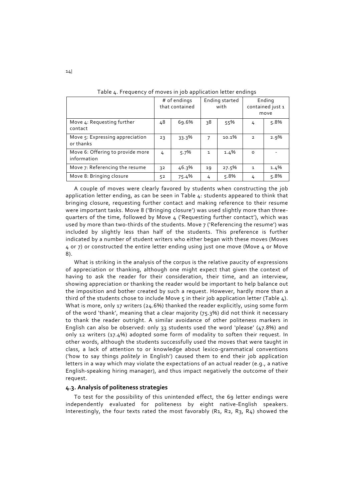|                                                 | # of endings<br>that contained |       | Ending started<br>with |         | Ending<br>contained just 1<br>move |         |
|-------------------------------------------------|--------------------------------|-------|------------------------|---------|------------------------------------|---------|
| Move 4: Requesting further<br>contact           | 48                             | 69.6% | 38                     | 55%     | 4                                  | 5.8%    |
| Move 5: Expressing appreciation<br>or thanks    | 23                             | 33.3% | 7                      | 10.1%   | $\overline{2}$                     | $2.9\%$ |
| Move 6: Offering to provide more<br>information | 4                              | 5.7%  | $\mathbf{1}$           | $1.4\%$ | $\Omega$                           |         |
| Move 7: Referencing the resume                  | 32                             | 46.3% | 19                     | 27.5%   | $\mathbf{1}$                       | $1.4\%$ |
| Move 8: Bringing closure                        | 52                             | 75.4% | 4                      | 5.8%    | 4                                  | 5.8%    |

Table 4. Frequency of moves in job application letter endings

A couple of moves were clearly favored by students when constructing the job application letter ending, as can be seen in Table 4: students appeared to think that bringing closure, requesting further contact and making reference to their resume were important tasks. Move 8 ('Bringing closure') was used slightly more than three‐ quarters of the time, followed by Move 4 ('Requesting further contact'), which was used by more than two-thirds of the students. Move 7 ('Referencing the resume') was included by slightly less than half of the students. This preference is further indicated by a number of student writers who either began with these moves (Moves 4 or 7) or constructed the entire letter ending using just one move (Move 4 or Move 8).

What is striking in the analysis of the corpus is the relative paucity of expressions of appreciation or thanking, although one might expect that given the context of having to ask the reader for their consideration, their time, and an interview, showing appreciation or thanking the reader would be important to help balance out the imposition and bother created by such a request. However, hardly more than a third of the students chose to include Move  $\varsigma$  in their job application letter (Table  $\Delta$ ). What is more, only 17 writers (24.6%) thanked the reader explicitly, using some form of the word 'thank', meaning that a clear majority (75.3%) did not think it necessary to thank the reader outright. A similar avoidance of other politeness markers in English can also be observed: only 33 students used the word 'please' (47.8%) and only 12 writers (17.4%) adopted some form of modality to soften their request. In other words, although the students successfully used the moves that were taught in class, a lack of attention to or knowledge about lexico-grammatical conventions ('how to say things *politely* in English') caused them to end their job application letters in a way which may violate the expectations of an actual reader (e.g., a native English‐speaking hiring manager), and thus impact negatively the outcome of their request.

#### **4.3. Analysis of politeness strategies**

To test for the possibility of this unintended effect, the 69 letter endings were independently evaluated for politeness by eight native-English speakers. Interestingly, the four texts rated the most favorably  $(R_1, R_2, R_3, R_4)$  showed the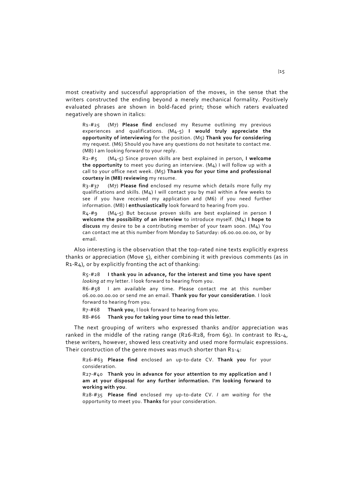most creativity and successful appropriation of the moves, in the sense that the writers constructed the ending beyond a merely mechanical formality. Positively evaluated phrases are shown in bold-faced print; those which raters evaluated negatively are shown in italics:

R1‐#25 (M7) **Please find** enclosed my Resume outlining my previous experiences and qualifications. (M4‐5) **I would truly appreciate the opportunity of interviewing** for the position. (M5) **Thank you for considering** my request. (M6) Should you have any questions do not hesitate to contact me. (M8) I am looking forward to your reply.

R2‐#5 (M4‐5) Since proven skills are best explained in person, **I welcome the opportunity** to meet you during an interview. (M4) I will follow up with a call to your office next week. (M5) **Thank you for your time and professional courtesy in (M8) reviewing** my resume.

R3‐#37 (M7) **Please find** enclosed my resume which details more fully my qualifications and skills. (M4) I will contact you by mail within a few weeks to see if you have received my application and (M6) if you need further information. (M8) I **enthusiastically** look forward to hearing from you.

R4‐#9 (M4‐5) But because proven skills are best explained in person **I welcome the possibility of an interview** to introduce myself. (M4) **I hope to**  discuss my desire to be a contributing member of your team soon. (M<sub>4</sub>) You can contact me at this number from Monday to Saturday: 06.00.00.00.00, or by email.

Also interesting is the observation that the top‐rated nine texts explicitly express thanks or appreciation (Move 5), either combining it with previous comments (as in R1‐R4), or by explicitly fronting the act of thanking:

R5‐#28 **I thank you in advance, for the interest and time you have spent** *looking at* my letter. I look forward to hearing from you.

R6‐#58 I am available any time. Please contact me at this number 06.00.00.00.00 or send me an email. **Thank you for your consideration**. I look forward to hearing from you.

R7‐#68 **Thank you**, I look forward to hearing from you.

R8‐#66 **Thank you for taking your time to read this letter**.

The next grouping of writers who expressed thanks and/or appreciation was ranked in the middle of the rating range  $(R_26-R_28,$  from 69). In contrast to  $R_1-a$ , these writers, however, showed less creativity and used more formulaic expressions. Their construction of the genre moves was much shorter than R1-4:

R26‐#63 **Please find** enclosed an up‐to‐date CV. **Thank you** for your consideration.

R27‐#40 **Thank you in advance for your attention to my application and I am at your disposal for any further information. I'm looking forward to working with you**.

R28‐#35 **Please find** enclosed my up‐to‐date CV. *I am waiting* for the opportunity to meet you. **Thanks** for your consideration.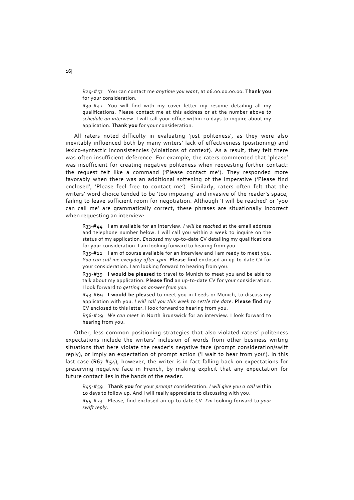R29‐#57 You can contact me *anytime you want*, at 06.00.00.00.00. **Thank you** for your consideration.

R30-#42 You will find with my cover letter my resume detailing all my qualifications. Please contact me at this address or at the number above *to schedule an interview*. I will call your office within 10 days to inquire about my application. **Thank you** for your consideration.

All raters noted difficulty in evaluating 'just politeness', as they were also inevitably influenced both by many writers' lack of effectiveness (positioning) and lexico-syntactic inconsistencies (violations of context). As a result, they felt there was often insufficient deference. For example, the raters commented that 'please' was insufficient for creating negative politeness when requesting further contact: the request felt like a command ('Please contact me'). They responded more favorably when there was an additional softening of the imperative ('Please find enclosed', 'Please feel free to contact me'). Similarly, raters often felt that the writers' word choice tended to be 'too imposing' and invasive of the reader's space, failing to leave sufficient room for negotiation. Although 'I will be reached' or 'you can call me' are grammatically correct, these phrases are situationally incorrect when requesting an interview:

R33‐#44 I am available for an interview. *I will be reached* at the email address and telephone number below. I will call you within a week to inquire on the status of my application. *Enclosed* my up-to-date CV detailing my qualifications for your consideration. I am looking forward to hearing from you.

R35‐#12 I am of course available for an interview and I am ready to meet you. *You can call me everyday after 5pm*. **Please find** enclosed an up‐to‐date CV for your consideration. I am looking forward to hearing from you.

R39‐#39 **I would be pleased** to travel to Munich to meet you and be able to talk about my application. **Please find** an up‐to‐date CV for your consideration. I look forward to *getting an answer from you.*

R43‐#69 **I would be pleased** to meet you in Leeds or Munich, to discuss my application with you. *I will call you this week to settle the date*. **Please find** my CV enclosed to this letter. I look forward to hearing from you.

R56‐#29 *We can meet* in North Brunswick for an interview. I look forward to hearing from you.

Other, less common positioning strategies that also violated raters' politeness expectations include the writers' inclusion of words from other business writing situations that here violate the reader's negative face (prompt consideration/swift reply), or imply an expectation of prompt action ('I wait to hear from you'). In this  $last case (R67-F54)$ , however, the writer is in fact falling back on expectations for preserving negative face in French, by making explicit that any expectation for future contact lies in the hands of the reader:

R45‐#59 **Thank you** for your *prompt* consideration. *I will give you a call* within 10 days to follow up. And I will really appreciate to discussing with you. R55‐#23 Please, find enclosed an up‐to‐date CV. *I'm* looking forward to *your swift reply*.

16|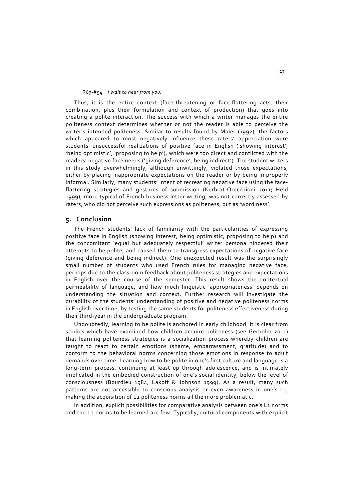#### R67‐#54 *I wait to hear from you.*

Thus, it is the entire context (face-threatening or face-flattering acts, their combination, plus their formulation and context of production) that goes into creating a polite interaction. The success with which a writer manages the entire politeness context determines whether or not the reader is able to perceive the writer's intended politeness. Similar to results found by Maier (1992), the factors which appeared to most negatively influence these raters' appreciation were students' unsuccessful realizations of positive face in English ('showing interest', 'being optimistic', 'proposing to help'), which were too direct and conflicted with the readers' negative face needs ('giving deference', being indirect'). The student writers in this study overwhelmingly, although unwittingly, violated those expectations, either by placing inappropriate expectations on the reader or by being improperly informal. Similarly, many students' intent of recreating negative face using the faceflattering strategies and gestures of submission (Kerbrat‐Orecchioni 2011; Held 1999), more typical of French business letter writing, was not correctly assessed by raters, who did not perceive such expressions as politeness, but as 'wordiness'.

# **5. Conclusion**

The French students' lack of familiarity with the particularities of expressing positive face in English (showing interest, being optimistic, proposing to help) and the concomitant 'equal but adequately respectful' writer persona hindered their attempts to be polite, and caused them to transgress expectations of negative face (giving deference and being indirect). One unexpected result was the surprisingly small number of students who used French rules for managing negative face, perhaps due to the classroom feedback about politeness strategies and expectations in English over the course of the semester. This result shows the contextual permeability of language, and how much linguistic 'appropriateness' depends on understanding the situation and context. Further research will investigate the durability of the students' understanding of positive and negative politeness norms in English over time, by testing the same students for politeness effectiveness during their third‐year in the undergraduate program.

Undoubtedly, learning to be polite is anchored in early childhood. It is clear from studies which have examined how children acquire politeness (see Gerholm 2011) that learning politeness strategies is a socialization process whereby children are taught to react to certain emotions (shame, embarrassment, gratitude) and to conform to the behavioral norms concerning those emotions in response to adult demands over time. Learning how to be polite in one's first culture and language is a long-term process, continuing at least up through adolescence, and is intimately implicated in the embodied construction of one's social identity, below the level of consciousness (Bourdieu 1984; Lakoff & Johnson 1999). As a result, many such patterns are not accessible to conscious analysis or even awareness in one's L1, making the acquisition of L2 politeness norms all the more problematic.

In addition, explicit possibilities for comparative analysis between one's L1 norms and the L2 norms to be learned are few. Typically, cultural components with explicit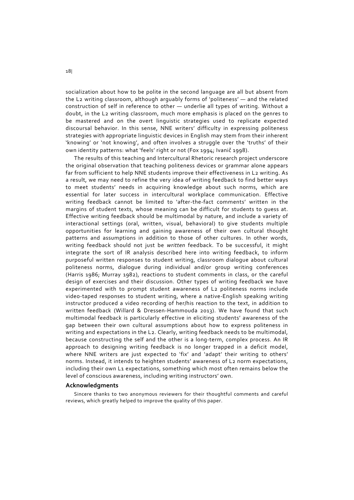socialization about how to be polite in the second language are all but absent from the L2 writing classroom, although arguably forms of 'politeness' — and the related construction of self in reference to other - underlie all types of writing. Without a doubt, in the L2 writing classroom, much more emphasis is placed on the genres to be mastered and on the overt linguistic strategies used to replicate expected discoursal behavior. In this sense, NNE writers' difficulty in expressing politeness strategies with appropriate linguistic devices in English may stem from their inherent 'knowing' or 'not knowing', and often involves a struggle over the 'truths' of their own identity patterns: what 'feels' right or not (Fox 1994; Ivanič 1998).

The results of this teaching and Intercultural Rhetoric research project underscore the original observation that teaching politeness devices or grammar alone appears far from sufficient to help NNE students improve their effectiveness in L2 writing. As a result, we may need to refine the very idea of writing feedback to find better ways to meet students' needs in acquiring knowledge about such norms, which are essential for later success in intercultural workplace communication. Effective writing feedback cannot be limited to 'after-the-fact comments' written in the margins of student texts, whose meaning can be difficult for students to quess at. Effective writing feedback should be multimodal by nature, and include a variety of interactional settings (oral, written, visual, behavioral) to give students multiple opportunities for learning and gaining awareness of their own cultural thought patterns and assumptions in addition to those of other cultures. In other words, writing feedback should not just be *written* feedback. To be successful, it might integrate the sort of IR analysis described here into writing feedback, to inform purposeful written responses to student writing, classroom dialogue about cultural politeness norms, dialogue during individual and/or group writing conferences (Harris 1986; Murray 1982), reactions to student comments in class, or the careful design of exercises and their discussion. Other types of writing feedback we have experimented with to prompt student awareness of L2 politeness norms include video-taped responses to student writing, where a native-English speaking writing instructor produced a video recording of her/his reaction to the text, in addition to written feedback (Willard & Dressen-Hammouda 2013). We have found that such multimodal feedback is particularly effective in eliciting students' awareness of the gap between their own cultural assumptions about how to express politeness in writing and expectations in the L2. Clearly, writing feedback needs to be multimodal, because constructing the self and the other is a long‐term, complex process. An IR approach to designing writing feedback is no longer trapped in a deficit model, where NNE writers are just expected to 'fix' and 'adapt' their writing to others' norms. Instead, it intends to heighten students' awareness of L2 norm expectations, including their own L1 expectations, something which most often remains below the level of conscious awareness, including writing instructors' own.

#### **Acknowledgments**

Sincere thanks to two anonymous reviewers for their thoughtful comments and careful reviews, which greatly helped to improve the quality of this paper.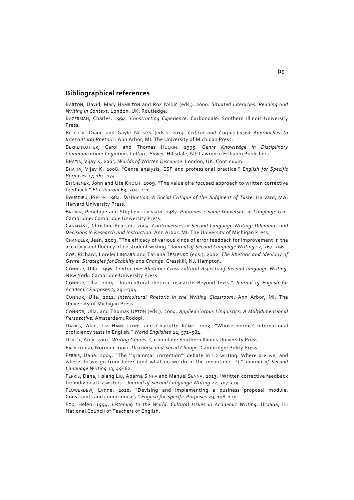#### **Bibliographical references**

BARTON, David, Mary HAMILTON and Roz IVANIČ (eds.). 2000. *Situated Literacies: Reading and Writing in Context*. London, UK: Routledge.

BAZERMAN, Charles. 1994. *Constructing Experience*. Carbondale: Southern Illinois University Press.

BELCHER, Diane and Gayle NELSON (eds.). 2013. *Critical and Corpus‐based Approaches to Intercultural Rhetoric*. Ann Arbor, MI: The University of Michigan Press.

BERKENKOTTER, Carol and Thomas HUCKIN. 1995. *Genre Knowledge in Disciplinary Communication: Cognition, Culture, Power*. Hillsdale, NJ: Lawrence Erlbaum Publishers.

BHATIA, Vijay K. 2005. *Worlds of Written Discourse*. London, UK: Continuum.

BHATIA, Vijay K. 2008. "Genre analysis, ESP and professional practice." *English for Specific Purposes* 27, 161–174.

BITCHENER, John and Ute KNOCH. 2009. "The value of a focused approach to written corrective feedback." *ELT Journal* 63, 204–211.

BOURDIEU, Pierre. 1984. *Distinction: A Social Critique of the Judgment of Taste*. Harvard, MA: Harvard University Press.

BROWN, Penelope and Stephen LEVINSON. 1987. *Politeness: Some Universals in Language Use*. Cambridge: Cambridge University Press.

CASANAVE, Christine Pearson. 2004. *Controversies in Second Language Writing: Dilemmas and Decisions in Research and Instruction*. Ann Arbor, MI: The University of Michigan Press.

CHANDLER, Jean. 2003. "The efficacy of various kinds of error feedback for improvement in the accuracy and fluency of L2 student writing." *Journal of Second Language Writing* 12, 267–296.

COE, Richard, Lorelei LINGARD and Tatiana TESLENKO (eds.). 2002. *The Rhetoric and Ideology of Genre: Strategies for Stability and Change*. Cresskill, NJ: Hampton.

CONNOR, Ulla. 1996. *Contrastive Rhetoric: Cross‐cultural Aspects of Second‐language Writing*. New York: Cambridge University Press.

CONNOR, Ulla. 2004. "Intercultural rhetoric research: Beyond texts." *Journal of English for Academic Purposes* 3, 291–304.

CONNOR, Ulla. 2011. *Intercultural Rhetoric in the Writing Classroom*. Ann Arbor, MI: The University of Michigan Press.

CONNOR, Ulla, and Thomas UPTON (eds.). 2004. *Applied Corpus Linguistics: A Multidimensional Perspective.* Amsterdam: Rodopi.

DAVIES, Alan, Liz HAMP‐LYONS and Charlotte KEMP. 2003. "Whose norms? International proficiency tests in English." *World Englishes* 22, 571–584.

DEVITT, Amy. 2004. *Writing Genres*. Carbondale: Southern Illinois University Press.

FAIRCLOUGH, Norman. 1992. *Discourse and Social Change*. Cambridge: Polity Press.

FERRIS, Dana. 2004. "The '"grammar correction"' debate in L2 writing: Where are we, and where do we go from here? (and what do we do in the meantime...?)." *Journal of Second Language Writing* 13, 49–62.

FERRIS, Dana, Hsiang LIU, Aparna SINHA and Manuel SENNA. 2013. "Written corrective feedback for individual L2 writers." *Journal of Second Language Writing* 22, 307‐329.

FLOWERDEW, Lynne. 2010. "Devising and implementing a business proposal module: Constraints and compromises." *English for Specific Purposes* 29, 108–120.

FOX, Helen. 1994. *Listening to the World: Cultural Issues in Academic Writing*. Urbana, IL: National Council of Teachers of English.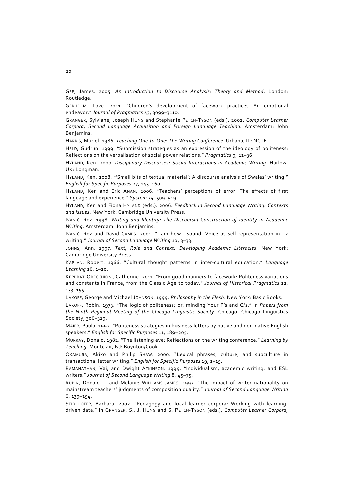GEE, James. 2005. *An Introduction to Discourse Analysis: Theory and Method*. London: Routledge.

GERHOLM, Tove. 2011. "Children's development of facework practices—An emotional endeavor." *Journal of Pragmatics* 43, 3099–3110.

GRANGER, Sylviane, Joseph HUNG and Stephanie PETCH‐TYSON (eds.). 2002. *Computer Learner Corpora, Second Language Acquisition and Foreign Language Teaching.* Amsterdam: John Benjamins.

HARRIS, Muriel. 1986. *Teaching One‐to‐One: The Writing Conference*. Urbana, IL: NCTE.

HELD, Gudrun. 1999. "Submission strategies as an expression of the ideology of politeness: Reflections on the verbalisation of social power relations." *Pragmatics* 9, 21–36.

HYLAND, Ken. 2000. *Disciplinary Discourses: Social Interactions in Academic Writing*. Harlow, UK: Longman.

HYLAND, Ken. 2008. "'Small bits of textual material': A discourse analysis of Swales' writing." *English for Specific Purposes* 27, 143–160.

HYLAND, Ken and Eric ANAN. 2006. "Teachers' perceptions of error: The effects of first language and experience." *System* 34, 509–519.

HYLAND, Ken and Fiona HYLAND (eds.). 2006. *Feedback in Second Language Writing: Contexts and Issues*. New York: Cambridge University Press.

IVANIČ, Roz. 1998. *Writing and Identity: The Discoursal Construction of Identity in Academic Writing*. Amsterdam: John Benjamins.

IVANIČ, Roz and David CAMPS. 2001. "I am how I sound: Voice as self-representation in L2 writing." *Journal of Second Language Writing* 10, 3–33.

JOHNS, Ann. 1997. *Text, Role and Context: Developing Academic Literacies*. New York: Cambridge University Press.

KAPLAN, Robert. 1966. "Cultural thought patterns in inter‐cultural education." *Language Learning* 16, 1–20.

KERBRAT‐ORECCHIONI, Catherine. 2011. "From good manners to facework: Politeness variations and constants in France, from the Classic Age to today." *Journal of Historical Pragmatics* 12, 133–155.

LAKOFF, George and Michael JOHNSON. 1999. *Philosophy in the Flesh*. New York: Basic Books.

LAKOFF, Robin. 1973. "The logic of politeness; or, minding Your P's and Q's." In *Papers from the Ninth Regional Meeting of the Chicago Linguistic Society*. Chicago: Chicago Linguistics Society, 306–319.

MAIER, Paula. 1992. "Politeness strategies in business letters by native and non‐native English speakers." *English for Specific Purposes* 11, 189–205.

MURRAY, Donald. 1982. "The listening eye: Reflections on the writing conference." *Learning by Teaching*. Montclair, NJ: Boynton/Cook.

OKAMURA, Akiko and Philip SHAW. 2000. "Lexical phrases, culture, and subculture in transactional letter writing." *English for Specific Purposes* 19, 1–15.

RAMANATHAN, Vai, and Dwight ATKINSON. 1999. "Individualism, academic writing, and ESL writers." *Journal of Second Language Writing* 8, 45–75.

RUBIN, Donald L. and Melanie WILLIAMS-JAMES. 1997. "The impact of writer nationality on mainstream teachers' judgments of composition quality." *Journal of Second Language Writing* 6, 139–154.

SEIDLHOFER, Barbara. 2002. "Pedagogy and local learner corpora: Working with learningdriven data." In GRANGER, S., J. HUNG and S. PETCH‐TYSON (eds.), *Computer Learner Corpora,* 

20|